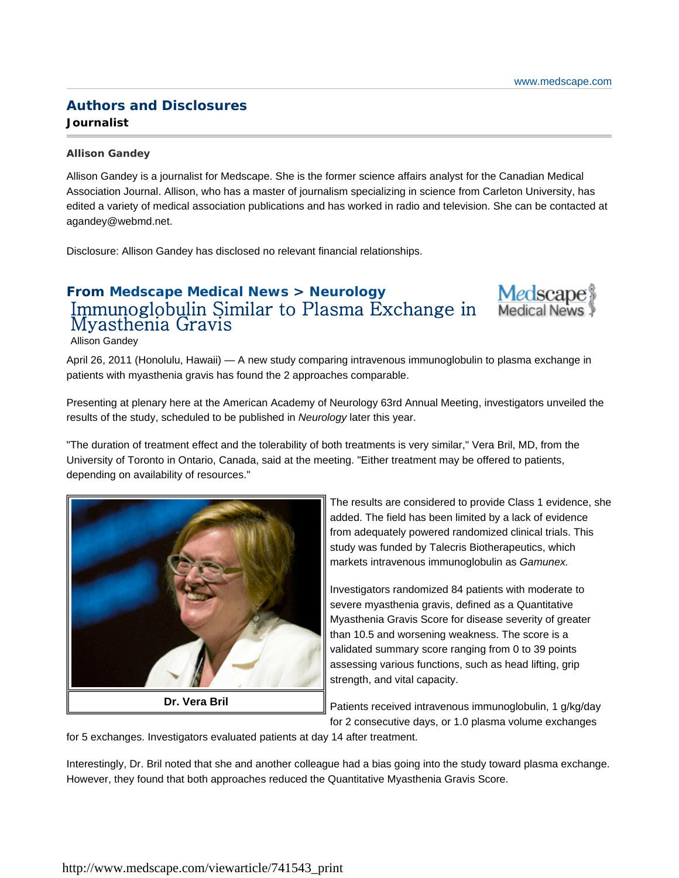## **Authors and Disclosures Journalist**

#### **Allison Gandey**

Allison Gandey is a journalist for Medscape. She is the former science affairs analyst for the Canadian Medical Association Journal. Allison, who has a master of journalism specializing in science from Carleton University, has edited a variety of medical association publications and has worked in radio and television. She can be contacted at agandey@webmd.net.

Disclosure: Allison Gandey has disclosed no relevant financial relationships.

# **From Medscape Medical News > Neurology** Immunoglobulin Similar to Plasma Exchange in Myasthenia Gravis



Allison Gandey

April 26, 2011 (Honolulu, Hawaii) — A new study comparing intravenous immunoglobulin to plasma exchange in patients with myasthenia gravis has found the 2 approaches comparable.

Presenting at plenary here at the American Academy of Neurology 63rd Annual Meeting, investigators unveiled the results of the study, scheduled to be published in *Neurology* later this year.

"The duration of treatment effect and the tolerability of both treatments is very similar," Vera Bril, MD, from the University of Toronto in Ontario, Canada, said at the meeting. "Either treatment may be offered to patients, depending on availability of resources."



The results are considered to provide Class 1 evidence, she added. The field has been limited by a lack of evidence from adequately powered randomized clinical trials. This study was funded by Talecris Biotherapeutics, which markets intravenous immunoglobulin as *Gamunex.*

Investigators randomized 84 patients with moderate to severe myasthenia gravis, defined as a Quantitative Myasthenia Gravis Score for disease severity of greater than 10.5 and worsening weakness. The score is a validated summary score ranging from 0 to 39 points assessing various functions, such as head lifting, grip strength, and vital capacity.

Patients received intravenous immunoglobulin, 1 g/kg/day for 2 consecutive days, or 1.0 plasma volume exchanges

for 5 exchanges. Investigators evaluated patients at day 14 after treatment.

Interestingly, Dr. Bril noted that she and another colleague had a bias going into the study toward plasma exchange. However, they found that both approaches reduced the Quantitative Myasthenia Gravis Score.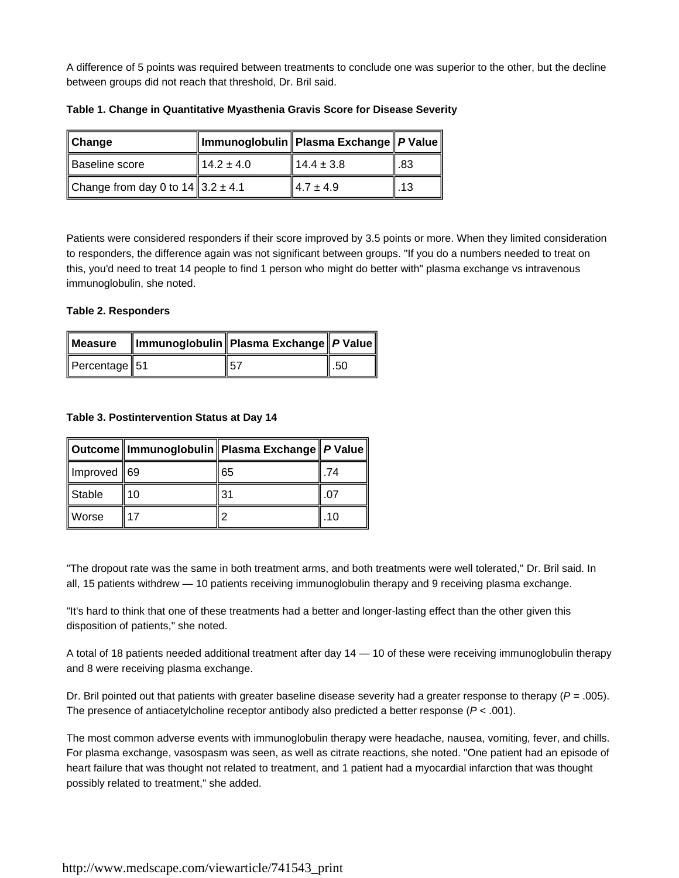A difference of 5 points was required between treatments to conclude one was superior to the other, but the decline between groups did not reach that threshold, Dr. Bril said.

| $\mathsf{\ Change}$                             |                | ∥Immunoglobulin∥Plasma Exchange∥ <i>P</i> Value∥ |      |
|-------------------------------------------------|----------------|--------------------------------------------------|------|
| Baseline score                                  | $14.2 \pm 4.0$ | $14.4 \pm 3.8$                                   | l.83 |
| Change from day 0 to $14 \parallel 3.2 \pm 4.1$ |                | $14.7 \pm 4.9$                                   | .13  |

**Table 1. Change in Quantitative Myasthenia Gravis Score for Disease Severity**

Patients were considered responders if their score improved by 3.5 points or more. When they limited consideration to responders, the difference again was not significant between groups. "If you do a numbers needed to treat on this, you'd need to treat 14 people to find 1 person who might do better with" plasma exchange vs intravenous immunoglobulin, she noted.

### **Table 2. Responders**

| Percentage $\parallel$ 51 | 57 | . .50 |
|---------------------------|----|-------|

### **Table 3. Postintervention Status at Day 14**

|             |    | ∥Outcome    Immunoglobulin    Plasma Exchange    P Value |    |
|-------------|----|----------------------------------------------------------|----|
| Improved 69 |    | 65                                                       | 74 |
| Stable      | 10 | 31                                                       |    |
| Worse       | 17 |                                                          | 10 |

"The dropout rate was the same in both treatment arms, and both treatments were well tolerated," Dr. Bril said. In all, 15 patients withdrew — 10 patients receiving immunoglobulin therapy and 9 receiving plasma exchange.

"It's hard to think that one of these treatments had a better and longer-lasting effect than the other given this disposition of patients," she noted.

A total of 18 patients needed additional treatment after day 14 — 10 of these were receiving immunoglobulin therapy and 8 were receiving plasma exchange.

Dr. Bril pointed out that patients with greater baseline disease severity had a greater response to therapy (*P* = .005). The presence of antiacetylcholine receptor antibody also predicted a better response (*P* < .001).

The most common adverse events with immunoglobulin therapy were headache, nausea, vomiting, fever, and chills. For plasma exchange, vasospasm was seen, as well as citrate reactions, she noted. "One patient had an episode of heart failure that was thought not related to treatment, and 1 patient had a myocardial infarction that was thought possibly related to treatment," she added.